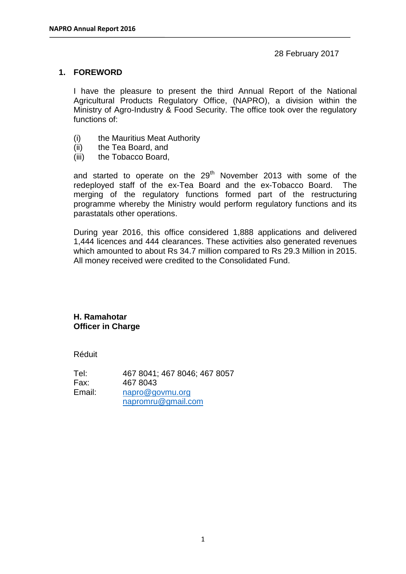### 28 February 2017

### **1. FOREWORD**

I have the pleasure to present the third Annual Report of the National Agricultural Products Regulatory Office, (NAPRO), a division within the Ministry of Agro-Industry & Food Security. The office took over the regulatory functions of:

- (i) the Mauritius Meat Authority
- (ii) the Tea Board, and
- (iii) the Tobacco Board,

and started to operate on the  $29<sup>th</sup>$  November 2013 with some of the redeployed staff of the ex-Tea Board and the ex-Tobacco Board. The merging of the regulatory functions formed part of the restructuring programme whereby the Ministry would perform regulatory functions and its parastatals other operations.

During year 2016, this office considered 1,888 applications and delivered 1,444 licences and 444 clearances. These activities also generated revenues which amounted to about Rs 34.7 million compared to Rs 29.3 Million in 2015. All money received were credited to the Consolidated Fund.

#### **H. Ramahotar Officer in Charge**

Réduit

Tel: 467 8041; 467 8046; 467 8057 Fax: 467 8043 Email: [napro@govmu.org](mailto:napro@govmu.org) [napromru@gmail.com](mailto:napromru@gmail.com)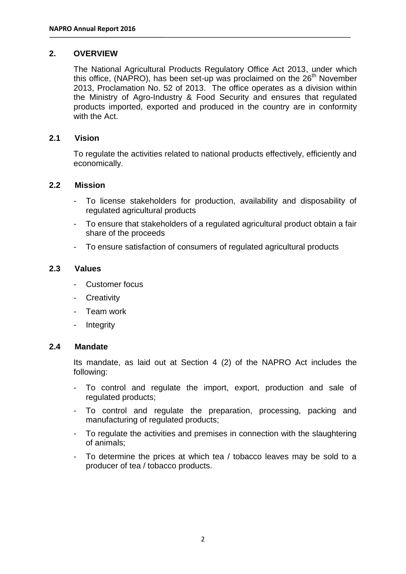### **2. OVERVIEW**

The National Agricultural Products Regulatory Office Act 2013, under which this office, (NAPRO), has been set-up was proclaimed on the  $26<sup>th</sup>$  November 2013, Proclamation No. 52 of 2013. The office operates as a division within the Ministry of Agro-Industry & Food Security and ensures that regulated products imported, exported and produced in the country are in conformity with the Act.

### **2.1 Vision**

To regulate the activities related to national products effectively, efficiently and economically.

#### **2.2 Mission**

- To license stakeholders for production, availability and disposability of regulated agricultural products
- To ensure that stakeholders of a regulated agricultural product obtain a fair share of the proceeds
- To ensure satisfaction of consumers of regulated agricultural products

#### **2.3 Values**

- Customer focus
- **Creativity**
- Team work
- **Integrity**

#### **2.4 Mandate**

Its mandate, as laid out at Section 4 (2) of the NAPRO Act includes the following:

- To control and regulate the import, export, production and sale of regulated products;
- To control and regulate the preparation, processing, packing and manufacturing of regulated products;
- To regulate the activities and premises in connection with the slaughtering of animals;
- To determine the prices at which tea / tobacco leaves may be sold to a producer of tea / tobacco products.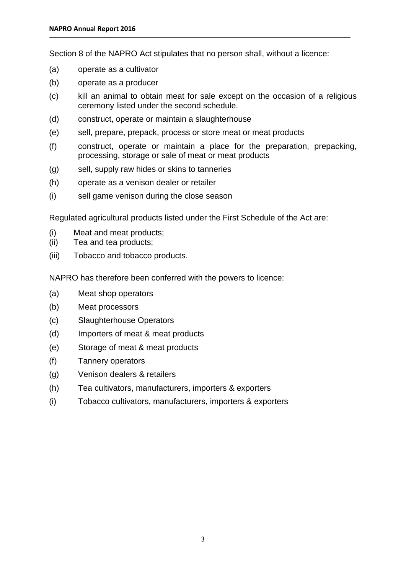Section 8 of the NAPRO Act stipulates that no person shall, without a licence:

- (a) operate as a cultivator
- (b) operate as a producer
- (c) kill an animal to obtain meat for sale except on the occasion of a religious ceremony listed under the second schedule.
- (d) construct, operate or maintain a slaughterhouse
- (e) sell, prepare, prepack, process or store meat or meat products
- (f) construct, operate or maintain a place for the preparation, prepacking, processing, storage or sale of meat or meat products
- (g) sell, supply raw hides or skins to tanneries
- (h) operate as a venison dealer or retailer
- (i) sell game venison during the close season

Regulated agricultural products listed under the First Schedule of the Act are:

- (i) Meat and meat products;
- (ii) Tea and tea products;
- (iii) Tobacco and tobacco products.

NAPRO has therefore been conferred with the powers to licence:

- (a) Meat shop operators
- (b) Meat processors
- (c) Slaughterhouse Operators
- (d) Importers of meat & meat products
- (e) Storage of meat & meat products
- (f) Tannery operators
- (g) Venison dealers & retailers
- (h) Tea cultivators, manufacturers, importers & exporters
- (i) Tobacco cultivators, manufacturers, importers & exporters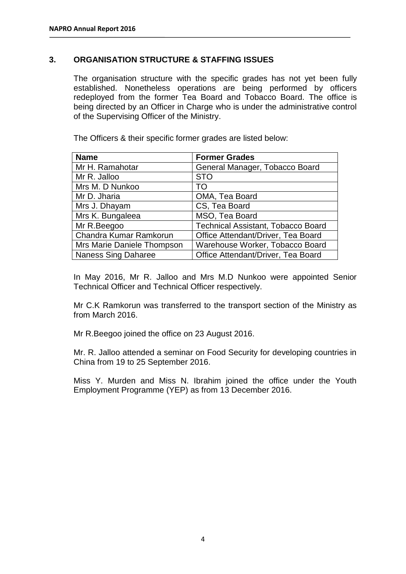### **3. ORGANISATION STRUCTURE & STAFFING ISSUES**

The organisation structure with the specific grades has not yet been fully established. Nonetheless operations are being performed by officers redeployed from the former Tea Board and Tobacco Board. The office is being directed by an Officer in Charge who is under the administrative control of the Supervising Officer of the Ministry.

The Officers & their specific former grades are listed below:

| <b>Name</b>                | <b>Former Grades</b>               |
|----------------------------|------------------------------------|
| Mr H. Ramahotar            | General Manager, Tobacco Board     |
| Mr R. Jalloo               | <b>STO</b>                         |
| Mrs M. D Nunkoo            | TO                                 |
| Mr D. Jharia               | OMA, Tea Board                     |
| Mrs J. Dhayam              | CS, Tea Board                      |
| Mrs K. Bungaleea           | MSO, Tea Board                     |
| Mr R.Beegoo                | Technical Assistant, Tobacco Board |
| Chandra Kumar Ramkorun     | Office Attendant/Driver, Tea Board |
| Mrs Marie Daniele Thompson | Warehouse Worker, Tobacco Board    |
| <b>Naness Sing Daharee</b> | Office Attendant/Driver, Tea Board |

In May 2016, Mr R. Jalloo and Mrs M.D Nunkoo were appointed Senior Technical Officer and Technical Officer respectively.

Mr C.K Ramkorun was transferred to the transport section of the Ministry as from March 2016.

Mr R.Beegoo joined the office on 23 August 2016.

Mr. R. Jalloo attended a seminar on Food Security for developing countries in China from 19 to 25 September 2016.

Miss Y. Murden and Miss N. Ibrahim joined the office under the Youth Employment Programme (YEP) as from 13 December 2016.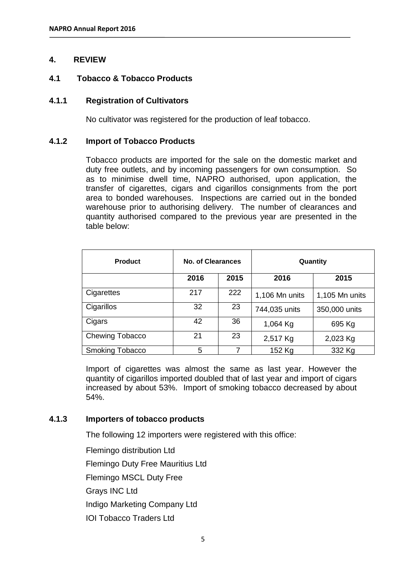### **4. REVIEW**

### **4.1 Tobacco & Tobacco Products**

#### **4.1.1 Registration of Cultivators**

No cultivator was registered for the production of leaf tobacco.

### **4.1.2 Import of Tobacco Products**

Tobacco products are imported for the sale on the domestic market and duty free outlets, and by incoming passengers for own consumption. So as to minimise dwell time, NAPRO authorised, upon application, the transfer of cigarettes, cigars and cigarillos consignments from the port area to bonded warehouses. Inspections are carried out in the bonded warehouse prior to authorising delivery. The number of clearances and quantity authorised compared to the previous year are presented in the table below:

| <b>Product</b>         | No. of Clearances |      | Quantity       |                |
|------------------------|-------------------|------|----------------|----------------|
|                        | 2016              | 2015 | 2016           | 2015           |
| Cigarettes             | 217               | 222  | 1,106 Mn units | 1,105 Mn units |
| Cigarillos             | 32                | 23   | 744,035 units  | 350,000 units  |
| Cigars                 | 42                | 36   | 1,064 Kg       | 695 Kg         |
| Chewing Tobacco        | 21                | 23   | 2,517 Kg       | 2,023 Kg       |
| <b>Smoking Tobacco</b> | 5                 | 7    | 152 Kg         | 332 Kg         |

Import of cigarettes was almost the same as last year. However the quantity of cigarillos imported doubled that of last year and import of cigars increased by about 53%. Import of smoking tobacco decreased by about 54%.

### **4.1.3 Importers of tobacco products**

The following 12 importers were registered with this office:

Flemingo distribution Ltd Flemingo Duty Free Mauritius Ltd Flemingo MSCL Duty Free Grays INC Ltd Indigo Marketing Company Ltd IOI Tobacco Traders Ltd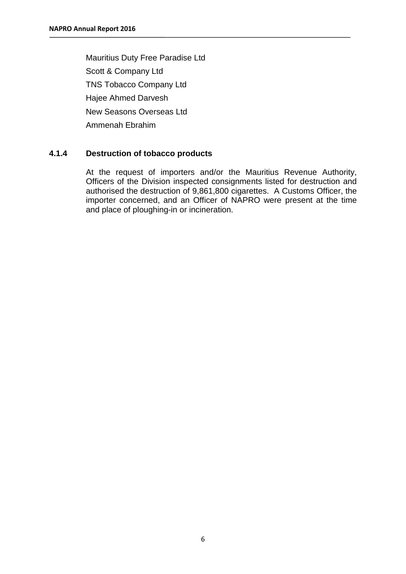Mauritius Duty Free Paradise Ltd Scott & Company Ltd TNS Tobacco Company Ltd Hajee Ahmed Darvesh New Seasons Overseas Ltd Ammenah Ebrahim

### **4.1.4 Destruction of tobacco products**

At the request of importers and/or the Mauritius Revenue Authority, Officers of the Division inspected consignments listed for destruction and authorised the destruction of 9,861,800 cigarettes. A Customs Officer, the importer concerned, and an Officer of NAPRO were present at the time and place of ploughing-in or incineration.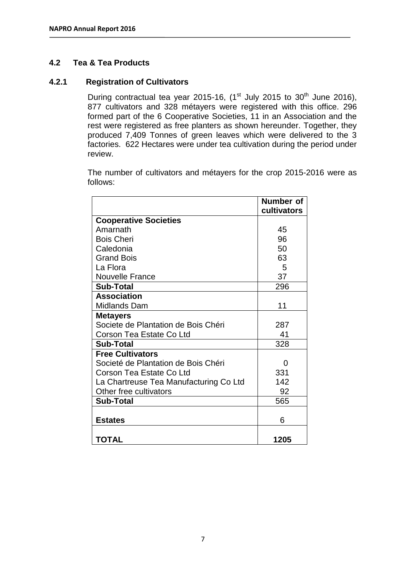### **4.2 Tea & Tea Products**

### **4.2.1 Registration of Cultivators**

During contractual tea year 2015-16,  $(1<sup>st</sup>$  July 2015 to 30<sup>th</sup> June 2016), 877 cultivators and 328 métayers were registered with this office. 296 formed part of the 6 Cooperative Societies, 11 in an Association and the rest were registered as free planters as shown hereunder. Together, they produced 7,409 Tonnes of green leaves which were delivered to the 3 factories. 622 Hectares were under tea cultivation during the period under review.

The number of cultivators and métayers for the crop 2015-2016 were as follows:

|                                        | Number of<br>cultivators |
|----------------------------------------|--------------------------|
| <b>Cooperative Societies</b>           |                          |
| Amarnath                               | 45                       |
| <b>Bois Cheri</b>                      | 96                       |
| Caledonia                              | 50                       |
| <b>Grand Bois</b>                      | 63                       |
| La Flora                               | 5                        |
| <b>Nouvelle France</b>                 | 37                       |
| <b>Sub-Total</b>                       | 296                      |
| <b>Association</b>                     |                          |
| Midlands Dam                           | 11                       |
| <b>Metayers</b>                        |                          |
| Societe de Plantation de Bois Chéri    | 287                      |
| Corson Tea Estate Co Ltd               | 41                       |
| <b>Sub-Total</b>                       | 328                      |
| <b>Free Cultivators</b>                |                          |
| Societé de Plantation de Bois Chéri    | 0                        |
| Corson Tea Estate Co Ltd               | 331                      |
| La Chartreuse Tea Manufacturing Co Ltd | 142                      |
| Other free cultivators                 | 92                       |
| <b>Sub-Total</b>                       | 565                      |
|                                        |                          |
| <b>Estates</b>                         | 6                        |
|                                        |                          |
| <b>TOTAL</b>                           | 1205                     |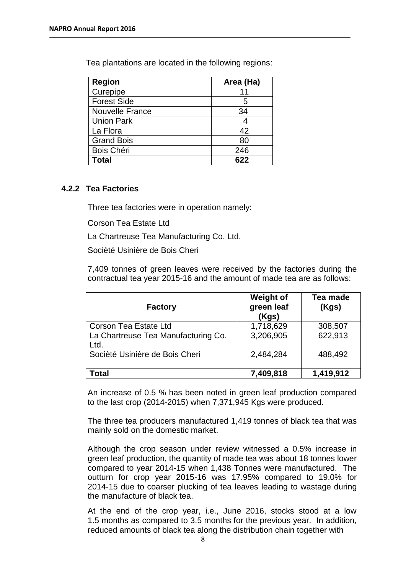Tea plantations are located in the following regions:

| <b>Region</b>          | Area (Ha) |
|------------------------|-----------|
| Curepipe               |           |
| <b>Forest Side</b>     | 5         |
| <b>Nouvelle France</b> | 34        |
| <b>Union Park</b>      |           |
| La Flora               | 42        |
| <b>Grand Bois</b>      | 80        |
| Bois Chéri             | 246       |
| <b>Total</b>           | 622       |

#### **4.2.2 Tea Factories**

Three tea factories were in operation namely:

Corson Tea Estate Ltd

La Chartreuse Tea Manufacturing Co. Ltd.

Socièté Usinière de Bois Cheri

7,409 tonnes of green leaves were received by the factories during the contractual tea year 2015-16 and the amount of made tea are as follows:

| <b>Factory</b>                              | <b>Weight of</b><br>green leaf<br>(Kgs) | Tea made<br>(Kgs) |
|---------------------------------------------|-----------------------------------------|-------------------|
| Corson Tea Estate Ltd                       | 1,718,629                               | 308,507           |
| La Chartreuse Tea Manufacturing Co.<br>Ltd. | 3,206,905                               | 622,913           |
| Socièté Usinière de Bois Cheri              | 2,484,284                               | 488,492           |
| Total                                       | 7,409,818                               | 1,419,912         |

An increase of 0.5 % has been noted in green leaf production compared to the last crop (2014-2015) when 7,371,945 Kgs were produced.

The three tea producers manufactured 1,419 tonnes of black tea that was mainly sold on the domestic market.

Although the crop season under review witnessed a 0.5% increase in green leaf production, the quantity of made tea was about 18 tonnes lower compared to year 2014-15 when 1,438 Tonnes were manufactured. The outturn for crop year 2015-16 was 17.95% compared to 19.0% for 2014-15 due to coarser plucking of tea leaves leading to wastage during the manufacture of black tea.

At the end of the crop year, i.e., June 2016, stocks stood at a low 1.5 months as compared to 3.5 months for the previous year. In addition, reduced amounts of black tea along the distribution chain together with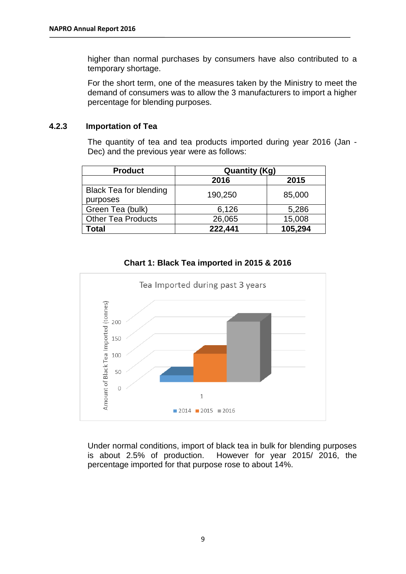higher than normal purchases by consumers have also contributed to a temporary shortage.

For the short term, one of the measures taken by the Ministry to meet the demand of consumers was to allow the 3 manufacturers to import a higher percentage for blending purposes.

### **4.2.3 Importation of Tea**

The quantity of tea and tea products imported during year 2016 (Jan - Dec) and the previous year were as follows:

| <b>Product</b>                | <b>Quantity (Kg)</b> |         |  |
|-------------------------------|----------------------|---------|--|
|                               | 2016                 | 2015    |  |
| <b>Black Tea for blending</b> | 190,250              | 85,000  |  |
| purposes                      |                      |         |  |
| Green Tea (bulk)              | 6,126                | 5,286   |  |
| <b>Other Tea Products</b>     | 26,065               | 15,008  |  |
| Total                         | 222,441              | 105,294 |  |





Under normal conditions, import of black tea in bulk for blending purposes is about 2.5% of production. However for year 2015/ 2016, the percentage imported for that purpose rose to about 14%.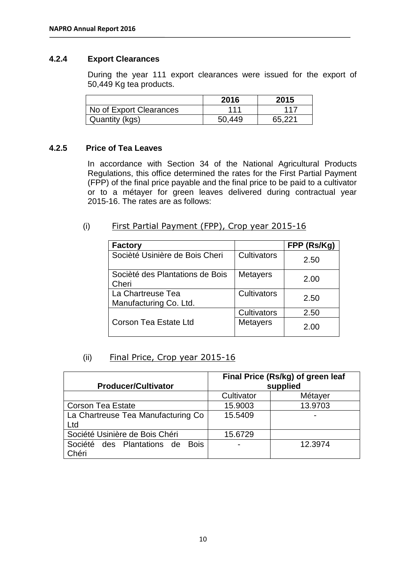### **4.2.4 Export Clearances**

During the year 111 export clearances were issued for the export of 50,449 Kg tea products.

|                         | 2016   | 2015   |
|-------------------------|--------|--------|
| No of Export Clearances | 111    | 117    |
| Quantity (kgs)          | 50.449 | 65.221 |

#### **4.2.5 Price of Tea Leaves**

In accordance with Section 34 of the National Agricultural Products Regulations, this office determined the rates for the First Partial Payment (FPP) of the final price payable and the final price to be paid to a cultivator or to a métayer for green leaves delivered during contractual year 2015-16. The rates are as follows:

### (i) First Partial Payment (FPP), Crop year 2015-16

| <b>Factory</b>                              |                 | FPP (Rs/Kg) |
|---------------------------------------------|-----------------|-------------|
| Socièté Usinière de Bois Cheri              | Cultivators     | 2.50        |
| Socièté des Plantations de Bois<br>Cheri    | <b>Metayers</b> | 2.00        |
| La Chartreuse Tea<br>Manufacturing Co. Ltd. | Cultivators     | 2.50        |
|                                             | Cultivators     | 2.50        |
| <b>Corson Tea Estate Ltd</b>                | <b>Metayers</b> | 2.00        |

### (ii) Final Price, Crop year 2015-16

|                                    | Final Price (Rs/kg) of green leaf |         |  |
|------------------------------------|-----------------------------------|---------|--|
| <b>Producer/Cultivator</b>         | supplied                          |         |  |
|                                    | Cultivator                        | Métayer |  |
| <b>Corson Tea Estate</b>           | 15.9003                           | 13.9703 |  |
| La Chartreuse Tea Manufacturing Co | 15.5409                           |         |  |
| Ltd                                |                                   |         |  |
| Société Usinière de Bois Chéri     | 15.6729                           |         |  |
| Société des Plantations de Bois    |                                   | 12.3974 |  |
| Chéri                              |                                   |         |  |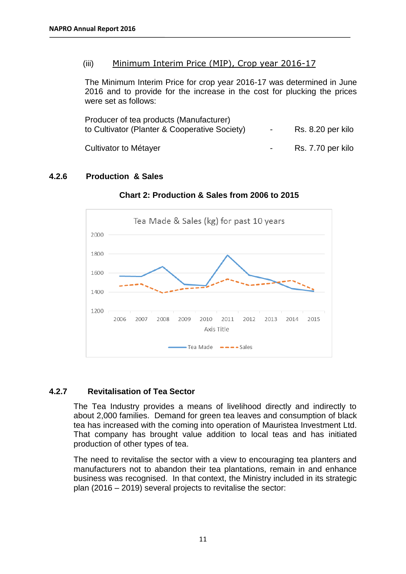### (iii) Minimum Interim Price (MIP), Crop year 2016-17

The Minimum Interim Price for crop year 2016-17 was determined in June 2016 and to provide for the increase in the cost for plucking the prices were set as follows:

| Producer of tea products (Manufacturer)<br>to Cultivator (Planter & Cooperative Society) |  | Rs. 8.20 per kilo |
|------------------------------------------------------------------------------------------|--|-------------------|
| Cultivator to Métayer                                                                    |  | Rs. 7.70 per kilo |

## **4.2.6 Production & Sales**



**Chart 2: Production & Sales from 2006 to 2015**

### **4.2.7 Revitalisation of Tea Sector**

The Tea Industry provides a means of livelihood directly and indirectly to about 2,000 families. Demand for green tea leaves and consumption of black tea has increased with the coming into operation of Mauristea Investment Ltd. That company has brought value addition to local teas and has initiated production of other types of tea.

The need to revitalise the sector with a view to encouraging tea planters and manufacturers not to abandon their tea plantations, remain in and enhance business was recognised. In that context, the Ministry included in its strategic plan (2016 – 2019) several projects to revitalise the sector: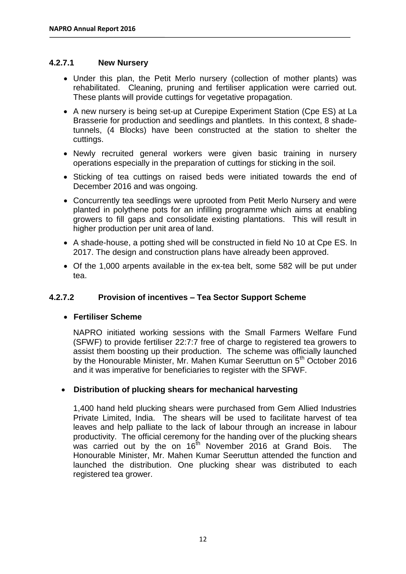### **4.2.7.1 New Nursery**

- Under this plan, the Petit Merlo nursery (collection of mother plants) was rehabilitated. Cleaning, pruning and fertiliser application were carried out. These plants will provide cuttings for vegetative propagation.
- A new nursery is being set-up at Curepipe Experiment Station (Cpe ES) at La Brasserie for production and seedlings and plantlets. In this context, 8 shadetunnels, (4 Blocks) have been constructed at the station to shelter the cuttings.
- Newly recruited general workers were given basic training in nursery operations especially in the preparation of cuttings for sticking in the soil.
- Sticking of tea cuttings on raised beds were initiated towards the end of December 2016 and was ongoing.
- Concurrently tea seedlings were uprooted from Petit Merlo Nursery and were planted in polythene pots for an infilling programme which aims at enabling growers to fill gaps and consolidate existing plantations. This will result in higher production per unit area of land.
- A shade-house, a potting shed will be constructed in field No 10 at Cpe ES. In 2017. The design and construction plans have already been approved.
- Of the 1,000 arpents available in the ex-tea belt, some 582 will be put under tea.

### **4.2.7.2 Provision of incentives – Tea Sector Support Scheme**

### **Fertiliser Scheme**

NAPRO initiated working sessions with the Small Farmers Welfare Fund (SFWF) to provide fertiliser 22:7:7 free of charge to registered tea growers to assist them boosting up their production. The scheme was officially launched by the Honourable Minister, Mr. Mahen Kumar Seeruttun on 5<sup>th</sup> October 2016 and it was imperative for beneficiaries to register with the SFWF.

### **Distribution of plucking shears for mechanical harvesting**

1,400 hand held plucking shears were purchased from Gem Allied Industries Private Limited, India. The shears will be used to facilitate harvest of tea leaves and help palliate to the lack of labour through an increase in labour productivity. The official ceremony for the handing over of the plucking shears was carried out by the on 16<sup>th</sup> November 2016 at Grand Bois. The Honourable Minister, Mr. Mahen Kumar Seeruttun attended the function and launched the distribution. One plucking shear was distributed to each registered tea grower.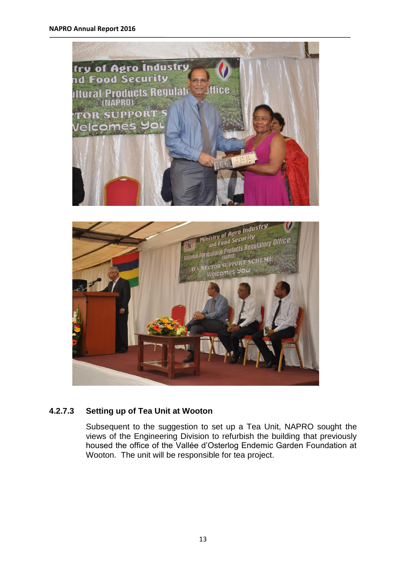#### **NAPRO Annual Report 2016**





## **4.2.7.3 Setting up of Tea Unit at Wooton**

Subsequent to the suggestion to set up a Tea Unit, NAPRO sought the views of the Engineering Division to refurbish the building that previously housed the office of the Vallée d'Osterlog Endemic Garden Foundation at Wooton. The unit will be responsible for tea project.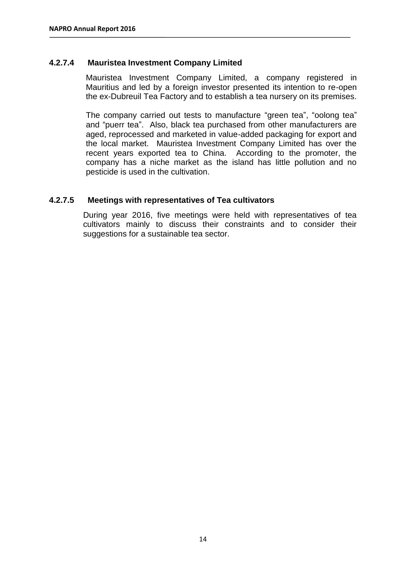### **4.2.7.4 Mauristea Investment Company Limited**

Mauristea Investment Company Limited, a company registered in Mauritius and led by a foreign investor presented its intention to re-open the ex-Dubreuil Tea Factory and to establish a tea nursery on its premises.

The company carried out tests to manufacture "green tea", "oolong tea" and "puerr tea". Also, black tea purchased from other manufacturers are aged, reprocessed and marketed in value-added packaging for export and the local market. Mauristea Investment Company Limited has over the recent years exported tea to China. According to the promoter, the company has a niche market as the island has little pollution and no pesticide is used in the cultivation.

#### **4.2.7.5 Meetings with representatives of Tea cultivators**

During year 2016, five meetings were held with representatives of tea cultivators mainly to discuss their constraints and to consider their suggestions for a sustainable tea sector.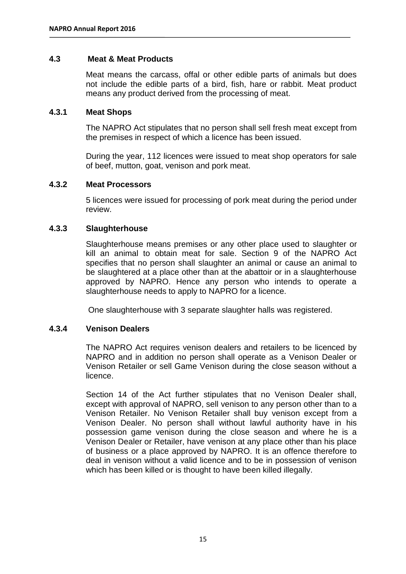### **4.3 Meat & Meat Products**

Meat means the carcass, offal or other edible parts of animals but does not include the edible parts of a bird, fish, hare or rabbit. Meat product means any product derived from the processing of meat.

#### **4.3.1 Meat Shops**

The NAPRO Act stipulates that no person shall sell fresh meat except from the premises in respect of which a licence has been issued.

During the year, 112 licences were issued to meat shop operators for sale of beef, mutton, goat, venison and pork meat.

#### **4.3.2 Meat Processors**

5 licences were issued for processing of pork meat during the period under review.

#### **4.3.3 Slaughterhouse**

Slaughterhouse means premises or any other place used to slaughter or kill an animal to obtain meat for sale. Section 9 of the NAPRO Act specifies that no person shall slaughter an animal or cause an animal to be slaughtered at a place other than at the abattoir or in a slaughterhouse approved by NAPRO. Hence any person who intends to operate a slaughterhouse needs to apply to NAPRO for a licence.

One slaughterhouse with 3 separate slaughter halls was registered.

#### **4.3.4 Venison Dealers**

The NAPRO Act requires venison dealers and retailers to be licenced by NAPRO and in addition no person shall operate as a Venison Dealer or Venison Retailer or sell Game Venison during the close season without a licence.

Section 14 of the Act further stipulates that no Venison Dealer shall, except with approval of NAPRO, sell venison to any person other than to a Venison Retailer. No Venison Retailer shall buy venison except from a Venison Dealer. No person shall without lawful authority have in his possession game venison during the close season and where he is a Venison Dealer or Retailer, have venison at any place other than his place of business or a place approved by NAPRO. It is an offence therefore to deal in venison without a valid licence and to be in possession of venison which has been killed or is thought to have been killed illegally.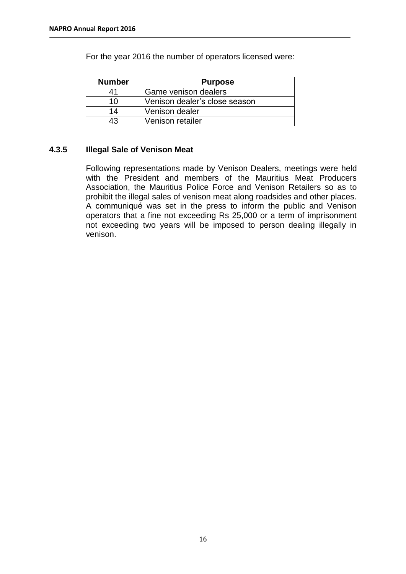For the year 2016 the number of operators licensed were:

| <b>Number</b> | <b>Purpose</b>                |
|---------------|-------------------------------|
| 41            | Game venison dealers          |
| 10            | Venison dealer's close season |
| 14            | Venison dealer                |
| 43            | Venison retailer              |

### **4.3.5 Illegal Sale of Venison Meat**

Following representations made by Venison Dealers, meetings were held with the President and members of the Mauritius Meat Producers Association, the Mauritius Police Force and Venison Retailers so as to prohibit the illegal sales of venison meat along roadsides and other places. A communiqué was set in the press to inform the public and Venison operators that a fine not exceeding Rs 25,000 or a term of imprisonment not exceeding two years will be imposed to person dealing illegally in venison.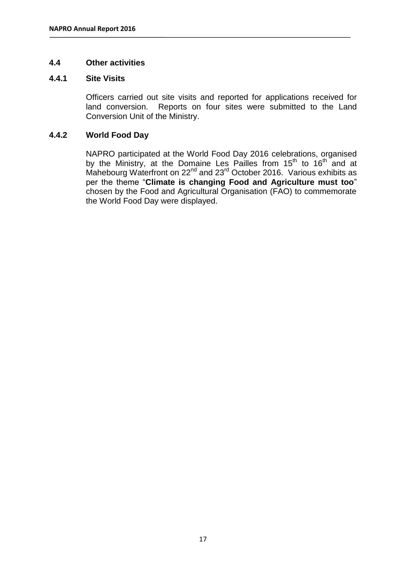### **4.4 Other activities**

#### **4.4.1 Site Visits**

Officers carried out site visits and reported for applications received for land conversion. Reports on four sites were submitted to the Land Conversion Unit of the Ministry.

### **4.4.2 World Food Day**

NAPRO participated at the World Food Day 2016 celebrations, organised by the Ministry, at the Domaine Les Pailles from  $15<sup>th</sup>$  to  $16<sup>th</sup>$  and at Mahebourg Waterfront on  $22^{nd}$  and  $23^{rd}$  October 2016. Various exhibits as per the theme "**Climate is changing Food and Agriculture must too**" chosen by the Food and Agricultural Organisation (FAO) to commemorate the World Food Day were displayed.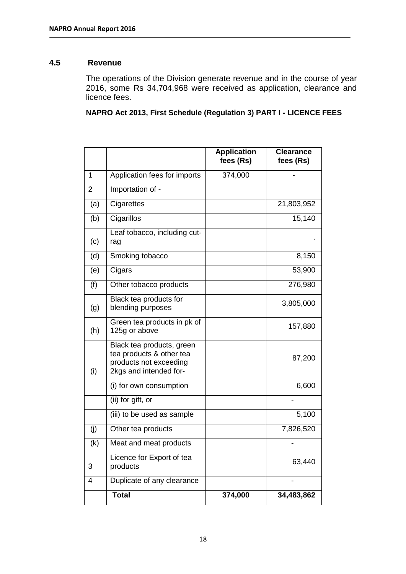#### **4.5 Revenue**

The operations of the Division generate revenue and in the course of year 2016, some Rs 34,704,968 were received as application, clearance and licence fees.

**NAPRO Act 2013, First Schedule (Regulation 3) PART I - LICENCE FEES**

|                |                                                                                                           | <b>Application</b><br>fees (Rs) | <b>Clearance</b><br>fees (Rs) |
|----------------|-----------------------------------------------------------------------------------------------------------|---------------------------------|-------------------------------|
| 1              | Application fees for imports                                                                              | 374,000                         |                               |
| $\overline{2}$ | Importation of -                                                                                          |                                 |                               |
| (a)            | Cigarettes                                                                                                |                                 | 21,803,952                    |
| (b)            | Cigarillos                                                                                                |                                 | 15,140                        |
| (c)            | Leaf tobacco, including cut-<br>rag                                                                       |                                 |                               |
| (d)            | Smoking tobacco                                                                                           |                                 | 8,150                         |
| (e)            | Cigars                                                                                                    |                                 | 53,900                        |
| (f)            | Other tobacco products                                                                                    |                                 | 276,980                       |
| (g)            | Black tea products for<br>blending purposes                                                               |                                 | 3,805,000                     |
| (h)            | Green tea products in pk of<br>125g or above                                                              |                                 | 157,880                       |
| (i)            | Black tea products, green<br>tea products & other tea<br>products not exceeding<br>2kgs and intended for- |                                 | 87,200                        |
|                | (i) for own consumption                                                                                   |                                 | 6,600                         |
|                | (ii) for gift, or                                                                                         |                                 |                               |
|                | (iii) to be used as sample                                                                                |                                 | 5,100                         |
| (j)            | Other tea products                                                                                        |                                 | 7,826,520                     |
| (k)            | Meat and meat products                                                                                    |                                 |                               |
| 3              | Licence for Export of tea<br>products                                                                     |                                 | 63,440                        |
| 4              | Duplicate of any clearance                                                                                |                                 |                               |
|                | <b>Total</b>                                                                                              | 374,000                         | 34,483,862                    |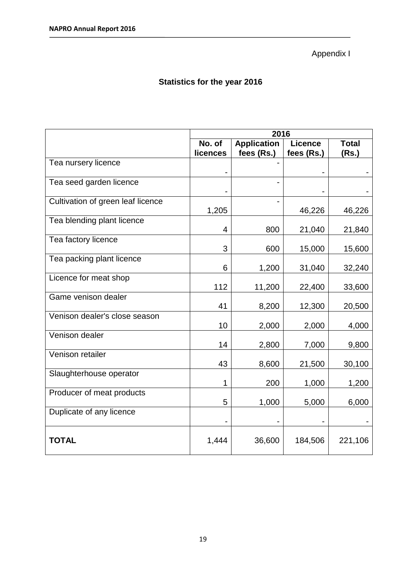Appendix I

# **Statistics for the year 2016**

|                                   | 2016     |                    |                |              |  |
|-----------------------------------|----------|--------------------|----------------|--------------|--|
|                                   | No. of   | <b>Application</b> | <b>Licence</b> | <b>Total</b> |  |
|                                   | licences | fees (Rs.)         | fees (Rs.)     | (Rs.)        |  |
| Tea nursery licence               |          |                    |                |              |  |
|                                   |          |                    |                |              |  |
| Tea seed garden licence           |          |                    |                |              |  |
|                                   |          |                    |                |              |  |
| Cultivation of green leaf licence |          |                    |                |              |  |
|                                   | 1,205    |                    | 46,226         | 46,226       |  |
| Tea blending plant licence        |          |                    |                |              |  |
|                                   | 4        | 800                | 21,040         | 21,840       |  |
| Tea factory licence               |          |                    |                |              |  |
|                                   | 3        | 600                | 15,000         | 15,600       |  |
| Tea packing plant licence         |          |                    |                |              |  |
|                                   | 6        | 1,200              | 31,040         | 32,240       |  |
| Licence for meat shop             |          |                    |                |              |  |
|                                   | 112      | 11,200             | 22,400         | 33,600       |  |
| Game venison dealer               |          |                    |                |              |  |
|                                   | 41       | 8,200              | 12,300         | 20,500       |  |
| Venison dealer's close season     |          |                    |                |              |  |
|                                   | 10       | 2,000              | 2,000          | 4,000        |  |
| Venison dealer                    |          |                    |                |              |  |
|                                   | 14       | 2,800              | 7,000          | 9,800        |  |
| Venison retailer                  |          |                    |                |              |  |
|                                   | 43       | 8,600              | 21,500         | 30,100       |  |
| Slaughterhouse operator           |          |                    |                |              |  |
|                                   | 1        | 200                | 1,000          | 1,200        |  |
| Producer of meat products         |          |                    |                |              |  |
|                                   | 5        | 1,000              | 5,000          | 6,000        |  |
| Duplicate of any licence          |          |                    |                |              |  |
|                                   |          |                    |                |              |  |
|                                   |          |                    |                |              |  |
| <b>TOTAL</b>                      | 1,444    | 36,600             | 184,506        | 221,106      |  |
|                                   |          |                    |                |              |  |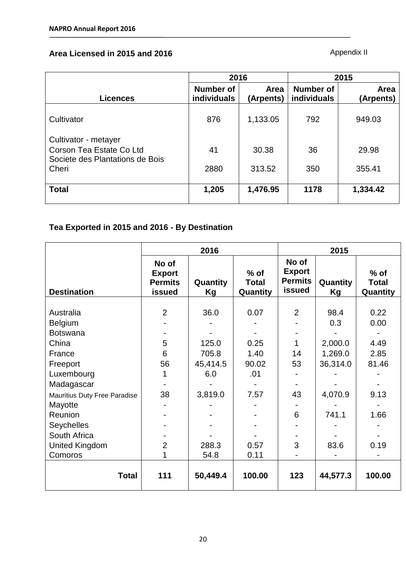## **Area Licensed in 2015 and 2016**

Appendix II

|                                                                                     | 2016                            |                   | 2015                                   |                   |
|-------------------------------------------------------------------------------------|---------------------------------|-------------------|----------------------------------------|-------------------|
| Licences                                                                            | Number of<br><b>individuals</b> | Area<br>(Arpents) | <b>Number of</b><br><b>individuals</b> | Area<br>(Arpents) |
| Cultivator                                                                          | 876                             | 1,133.05          | 792                                    | 949.03            |
| Cultivator - metayer<br>Corson Tea Estate Co Ltd<br>Societe des Plantations de Bois | 41                              | 30.38             | 36                                     | 29.98             |
| Cheri                                                                               | 2880                            | 313.52            | 350                                    | 355.41            |
| <b>Total</b>                                                                        | 1,205                           | 1,476.95          | 1178                                   | 1,334.42          |

# **Tea Exported in 2015 and 2016 - By Destination**

|                                                                                                                                    | 2016                                               |                                           |                                      | 2015                                                      |                                               |                                       |  |
|------------------------------------------------------------------------------------------------------------------------------------|----------------------------------------------------|-------------------------------------------|--------------------------------------|-----------------------------------------------------------|-----------------------------------------------|---------------------------------------|--|
| <b>Destination</b>                                                                                                                 | No of<br><b>Export</b><br><b>Permits</b><br>issued | Quantity<br>Kg                            | $%$ of<br><b>Total</b><br>Quantity   | No of<br><b>Export</b><br><b>Permits</b><br><b>issued</b> | Quantity<br>Kg                                | $%$ of<br><b>Total</b><br>Quantity    |  |
| Australia<br>Belgium<br><b>Botswana</b><br>China<br>France<br>Freeport<br>Luxembourg                                               | $\overline{2}$<br>5<br>6<br>56<br>1                | 36.0<br>125.0<br>705.8<br>45,414.5<br>6.0 | 0.07<br>0.25<br>1.40<br>90.02<br>.01 | $\overline{2}$<br>1<br>14<br>53                           | 98.4<br>0.3<br>2,000.0<br>1,269.0<br>36,314.0 | 0.22<br>0.00<br>4.49<br>2.85<br>81.46 |  |
| Madagascar<br>Mauritius Duty Free Paradise<br>Mayotte<br>Reunion<br><b>Seychelles</b><br>South Africa<br>United Kingdom<br>Comoros | 38<br>$\overline{2}$                               | 3,819.0<br>288.3<br>54.8                  | 7.57<br>0.57<br>0.11                 | 43<br>6<br>3                                              | 4,070.9<br>741.1<br>83.6                      | 9.13<br>1.66<br>0.19                  |  |
| <b>Total</b>                                                                                                                       | 111                                                | 50,449.4                                  | 100.00                               | 123                                                       | 44,577.3                                      | 100.00                                |  |